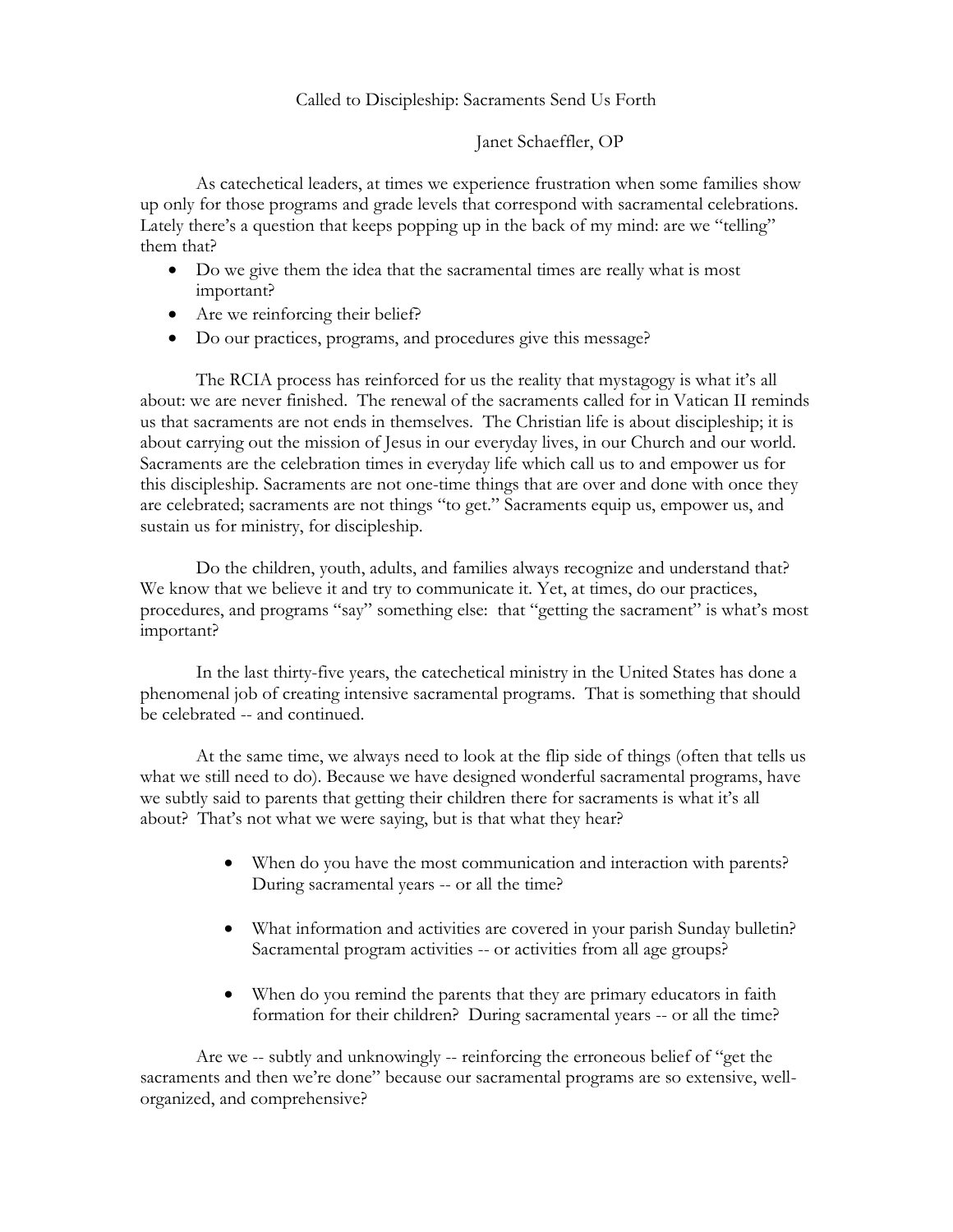## Called to Discipleship: Sacraments Send Us Forth

## Janet Schaeffler, OP

As catechetical leaders, at times we experience frustration when some families show up only for those programs and grade levels that correspond with sacramental celebrations. Lately there's a question that keeps popping up in the back of my mind: are we "telling" them that?

- Do we give them the idea that the sacramental times are really what is most important?
- Are we reinforcing their belief?
- Do our practices, programs, and procedures give this message?

The RCIA process has reinforced for us the reality that mystagogy is what it's all about: we are never finished. The renewal of the sacraments called for in Vatican II reminds us that sacraments are not ends in themselves. The Christian life is about discipleship; it is about carrying out the mission of Jesus in our everyday lives, in our Church and our world. Sacraments are the celebration times in everyday life which call us to and empower us for this discipleship. Sacraments are not one-time things that are over and done with once they are celebrated; sacraments are not things "to get." Sacraments equip us, empower us, and sustain us for ministry, for discipleship.

Do the children, youth, adults, and families always recognize and understand that? We know that we believe it and try to communicate it. Yet, at times, do our practices, procedures, and programs "say" something else: that "getting the sacrament" is what's most important?

In the last thirty-five years, the catechetical ministry in the United States has done a phenomenal job of creating intensive sacramental programs. That is something that should be celebrated -- and continued.

At the same time, we always need to look at the flip side of things (often that tells us what we still need to do). Because we have designed wonderful sacramental programs, have we subtly said to parents that getting their children there for sacraments is what it's all about? That's not what we were saying, but is that what they hear?

- When do you have the most communication and interaction with parents? During sacramental years -- or all the time?
- What information and activities are covered in your parish Sunday bulletin? Sacramental program activities -- or activities from all age groups?
- When do you remind the parents that they are primary educators in faith formation for their children? During sacramental years -- or all the time?

Are we -- subtly and unknowingly -- reinforcing the erroneous belief of "get the sacraments and then we're done" because our sacramental programs are so extensive, wellorganized, and comprehensive?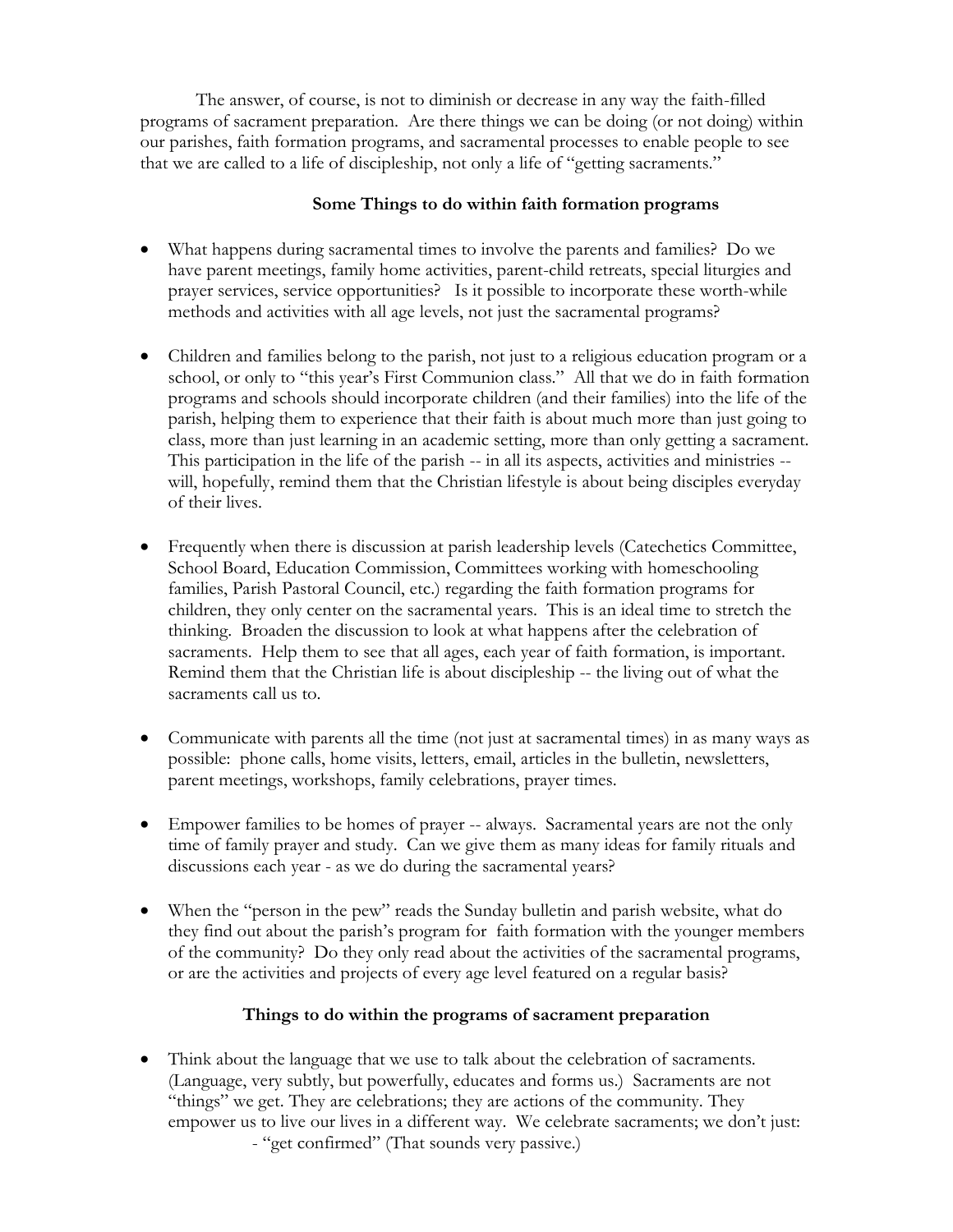The answer, of course, is not to diminish or decrease in any way the faith-filled programs of sacrament preparation. Are there things we can be doing (or not doing) within our parishes, faith formation programs, and sacramental processes to enable people to see that we are called to a life of discipleship, not only a life of "getting sacraments."

## **Some Things to do within faith formation programs**

- What happens during sacramental times to involve the parents and families? Do we have parent meetings, family home activities, parent-child retreats, special liturgies and prayer services, service opportunities? Is it possible to incorporate these worth-while methods and activities with all age levels, not just the sacramental programs?
- Children and families belong to the parish, not just to a religious education program or a school, or only to "this year's First Communion class." All that we do in faith formation programs and schools should incorporate children (and their families) into the life of the parish, helping them to experience that their faith is about much more than just going to class, more than just learning in an academic setting, more than only getting a sacrament. This participation in the life of the parish -- in all its aspects, activities and ministries - will, hopefully, remind them that the Christian lifestyle is about being disciples everyday of their lives.
- Frequently when there is discussion at parish leadership levels (Catechetics Committee, School Board, Education Commission, Committees working with homeschooling families, Parish Pastoral Council, etc.) regarding the faith formation programs for children, they only center on the sacramental years. This is an ideal time to stretch the thinking. Broaden the discussion to look at what happens after the celebration of sacraments. Help them to see that all ages, each year of faith formation, is important. Remind them that the Christian life is about discipleship -- the living out of what the sacraments call us to.
- Communicate with parents all the time (not just at sacramental times) in as many ways as possible: phone calls, home visits, letters, email, articles in the bulletin, newsletters, parent meetings, workshops, family celebrations, prayer times.
- Empower families to be homes of prayer -- always. Sacramental years are not the only time of family prayer and study. Can we give them as many ideas for family rituals and discussions each year - as we do during the sacramental years?
- When the "person in the pew" reads the Sunday bulletin and parish website, what do they find out about the parish's program for faith formation with the younger members of the community? Do they only read about the activities of the sacramental programs, or are the activities and projects of every age level featured on a regular basis?

## **Things to do within the programs of sacrament preparation**

 Think about the language that we use to talk about the celebration of sacraments. (Language, very subtly, but powerfully, educates and forms us.) Sacraments are not "things" we get. They are celebrations; they are actions of the community. They empower us to live our lives in a different way. We celebrate sacraments; we don't just: - "get confirmed" (That sounds very passive.)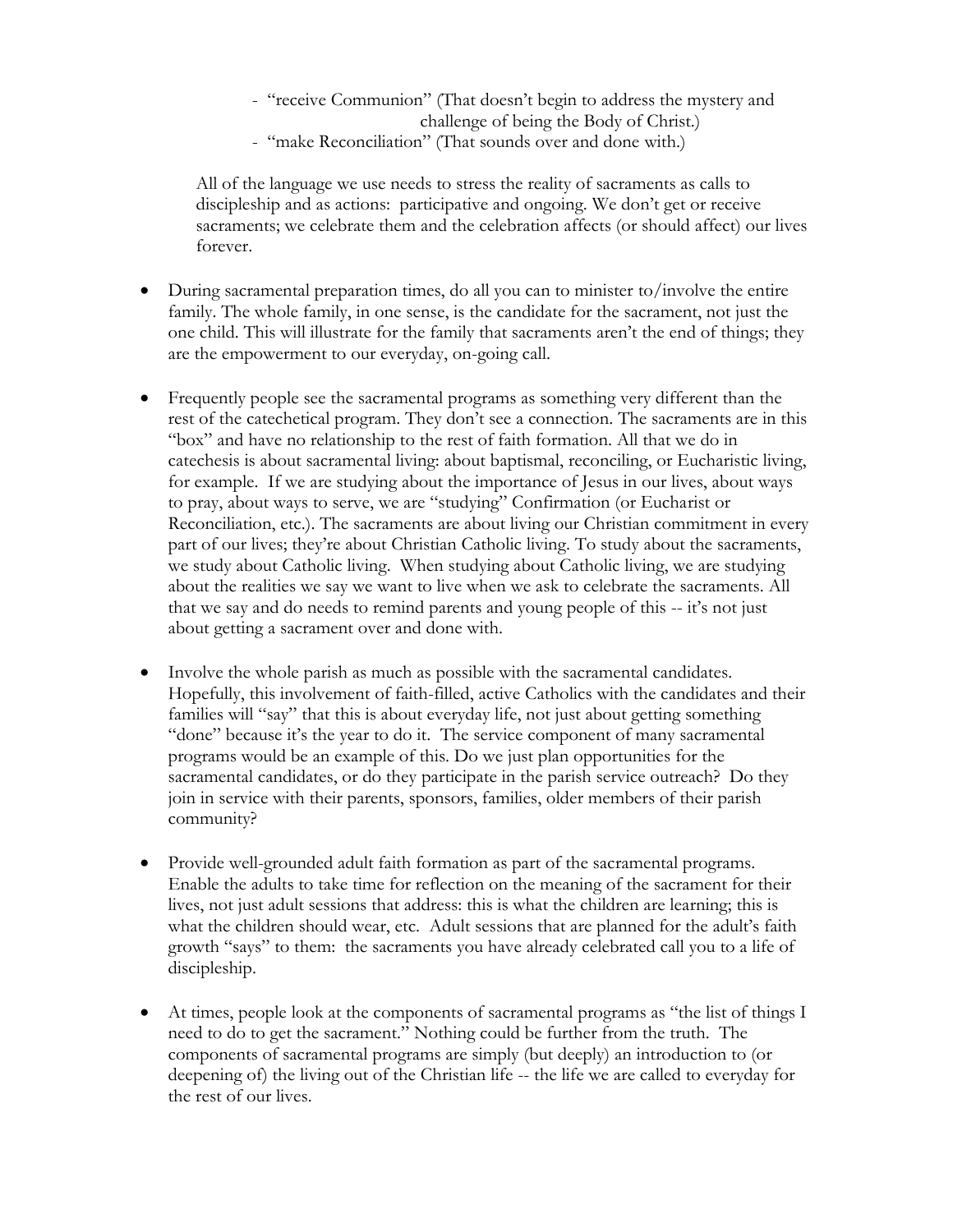- "receive Communion" (That doesn't begin to address the mystery and challenge of being the Body of Christ.)
- "make Reconciliation" (That sounds over and done with.)

All of the language we use needs to stress the reality of sacraments as calls to discipleship and as actions: participative and ongoing. We don't get or receive sacraments; we celebrate them and the celebration affects (or should affect) our lives forever.

- During sacramental preparation times, do all you can to minister to/involve the entire family. The whole family, in one sense, is the candidate for the sacrament, not just the one child. This will illustrate for the family that sacraments aren't the end of things; they are the empowerment to our everyday, on-going call.
- Frequently people see the sacramental programs as something very different than the rest of the catechetical program. They don't see a connection. The sacraments are in this "box" and have no relationship to the rest of faith formation. All that we do in catechesis is about sacramental living: about baptismal, reconciling, or Eucharistic living, for example. If we are studying about the importance of Jesus in our lives, about ways to pray, about ways to serve, we are "studying" Confirmation (or Eucharist or Reconciliation, etc.). The sacraments are about living our Christian commitment in every part of our lives; they're about Christian Catholic living. To study about the sacraments, we study about Catholic living. When studying about Catholic living, we are studying about the realities we say we want to live when we ask to celebrate the sacraments. All that we say and do needs to remind parents and young people of this -- it's not just about getting a sacrament over and done with.
- Involve the whole parish as much as possible with the sacramental candidates. Hopefully, this involvement of faith-filled, active Catholics with the candidates and their families will "say" that this is about everyday life, not just about getting something "done" because it's the year to do it. The service component of many sacramental programs would be an example of this. Do we just plan opportunities for the sacramental candidates, or do they participate in the parish service outreach? Do they join in service with their parents, sponsors, families, older members of their parish community?
- Provide well-grounded adult faith formation as part of the sacramental programs. Enable the adults to take time for reflection on the meaning of the sacrament for their lives, not just adult sessions that address: this is what the children are learning; this is what the children should wear, etc. Adult sessions that are planned for the adult's faith growth "says" to them: the sacraments you have already celebrated call you to a life of discipleship.
- At times, people look at the components of sacramental programs as "the list of things I need to do to get the sacrament." Nothing could be further from the truth. The components of sacramental programs are simply (but deeply) an introduction to (or deepening of) the living out of the Christian life -- the life we are called to everyday for the rest of our lives.